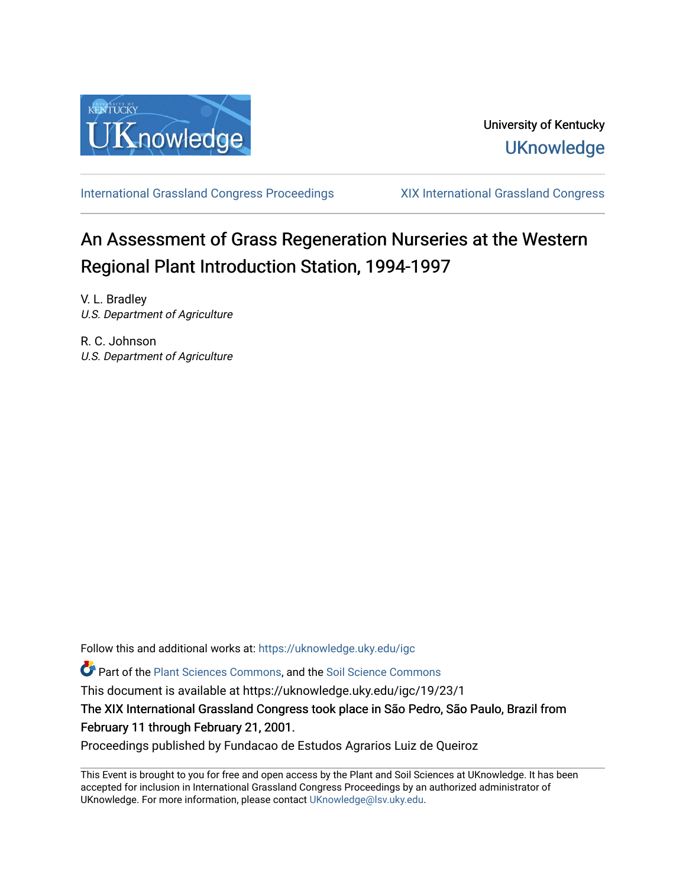

[International Grassland Congress Proceedings](https://uknowledge.uky.edu/igc) [XIX International Grassland Congress](https://uknowledge.uky.edu/igc/19) 

# An Assessment of Grass Regeneration Nurseries at the Western Regional Plant Introduction Station, 1994-1997

V. L. Bradley U.S. Department of Agriculture

R. C. Johnson U.S. Department of Agriculture

Follow this and additional works at: [https://uknowledge.uky.edu/igc](https://uknowledge.uky.edu/igc?utm_source=uknowledge.uky.edu%2Figc%2F19%2F23%2F1&utm_medium=PDF&utm_campaign=PDFCoverPages) 

Part of the [Plant Sciences Commons](http://network.bepress.com/hgg/discipline/102?utm_source=uknowledge.uky.edu%2Figc%2F19%2F23%2F1&utm_medium=PDF&utm_campaign=PDFCoverPages), and the [Soil Science Commons](http://network.bepress.com/hgg/discipline/163?utm_source=uknowledge.uky.edu%2Figc%2F19%2F23%2F1&utm_medium=PDF&utm_campaign=PDFCoverPages) 

This document is available at https://uknowledge.uky.edu/igc/19/23/1

The XIX International Grassland Congress took place in São Pedro, São Paulo, Brazil from February 11 through February 21, 2001.

Proceedings published by Fundacao de Estudos Agrarios Luiz de Queiroz

This Event is brought to you for free and open access by the Plant and Soil Sciences at UKnowledge. It has been accepted for inclusion in International Grassland Congress Proceedings by an authorized administrator of UKnowledge. For more information, please contact [UKnowledge@lsv.uky.edu](mailto:UKnowledge@lsv.uky.edu).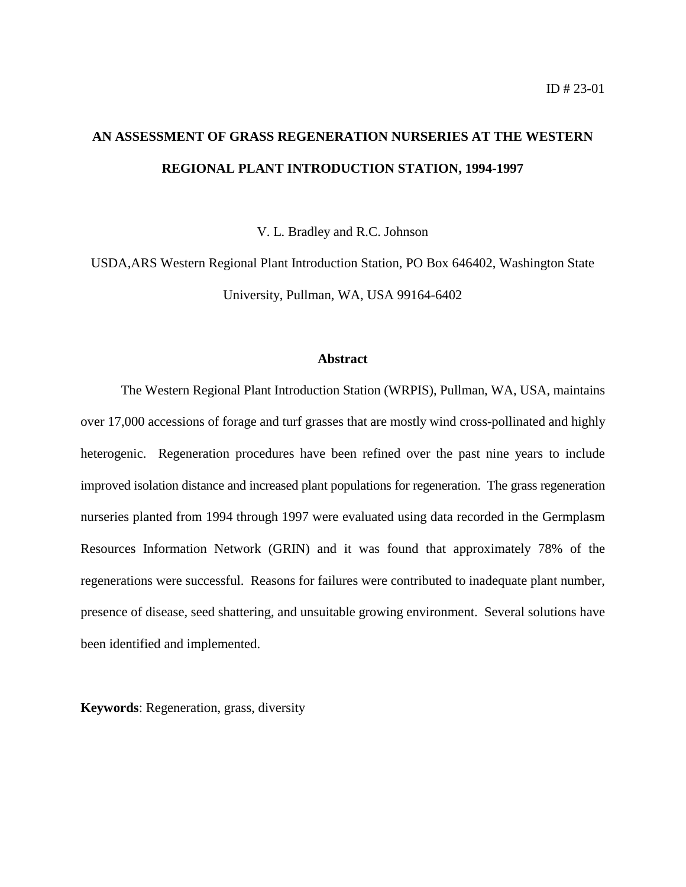# **AN ASSESSMENT OF GRASS REGENERATION NURSERIES AT THE WESTERN REGIONAL PLANT INTRODUCTION STATION, 1994-1997**

V. L. Bradley and R.C. Johnson

USDA,ARS Western Regional Plant Introduction Station, PO Box 646402, Washington State University, Pullman, WA, USA 99164-6402

#### **Abstract**

The Western Regional Plant Introduction Station (WRPIS), Pullman, WA, USA, maintains over 17,000 accessions of forage and turf grasses that are mostly wind cross-pollinated and highly heterogenic. Regeneration procedures have been refined over the past nine years to include improved isolation distance and increased plant populations for regeneration. The grass regeneration nurseries planted from 1994 through 1997 were evaluated using data recorded in the Germplasm Resources Information Network (GRIN) and it was found that approximately 78% of the regenerations were successful. Reasons for failures were contributed to inadequate plant number, presence of disease, seed shattering, and unsuitable growing environment. Several solutions have been identified and implemented.

**Keywords**: Regeneration, grass, diversity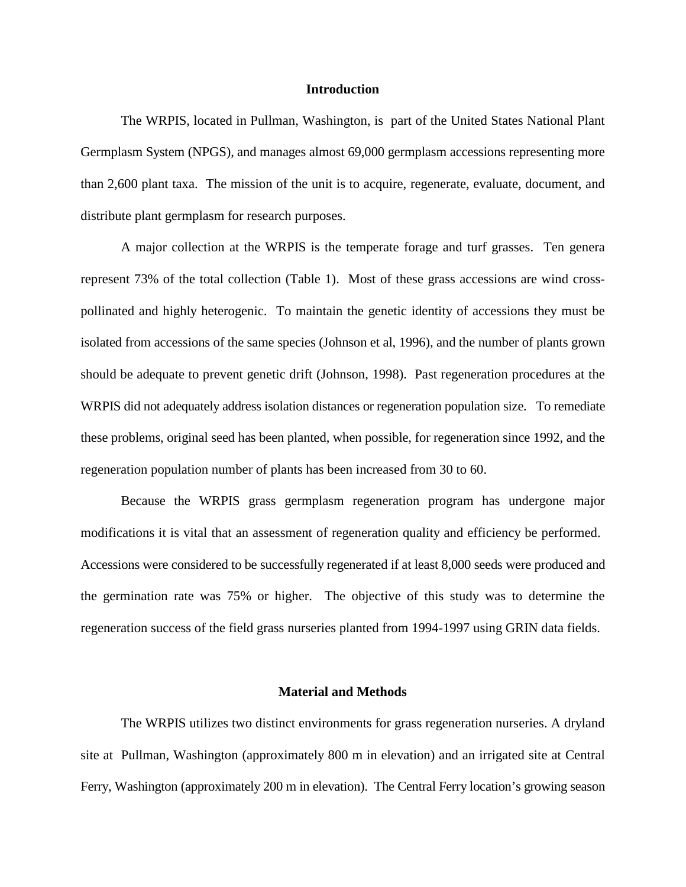#### **Introduction**

The WRPIS, located in Pullman, Washington, is part of the United States National Plant Germplasm System (NPGS), and manages almost 69,000 germplasm accessions representing more than 2,600 plant taxa. The mission of the unit is to acquire, regenerate, evaluate, document, and distribute plant germplasm for research purposes.

A major collection at the WRPIS is the temperate forage and turf grasses. Ten genera represent 73% of the total collection (Table 1). Most of these grass accessions are wind crosspollinated and highly heterogenic. To maintain the genetic identity of accessions they must be isolated from accessions of the same species (Johnson et al, 1996), and the number of plants grown should be adequate to prevent genetic drift (Johnson, 1998). Past regeneration procedures at the WRPIS did not adequately address isolation distances or regeneration population size. To remediate these problems, original seed has been planted, when possible, for regeneration since 1992, and the regeneration population number of plants has been increased from 30 to 60.

Because the WRPIS grass germplasm regeneration program has undergone major modifications it is vital that an assessment of regeneration quality and efficiency be performed. Accessions were considered to be successfully regenerated if at least 8,000 seeds were produced and the germination rate was 75% or higher. The objective of this study was to determine the regeneration success of the field grass nurseries planted from 1994-1997 using GRIN data fields.

## **Material and Methods**

The WRPIS utilizes two distinct environments for grass regeneration nurseries. A dryland site at Pullman, Washington (approximately 800 m in elevation) and an irrigated site at Central Ferry, Washington (approximately 200 m in elevation). The Central Ferry location's growing season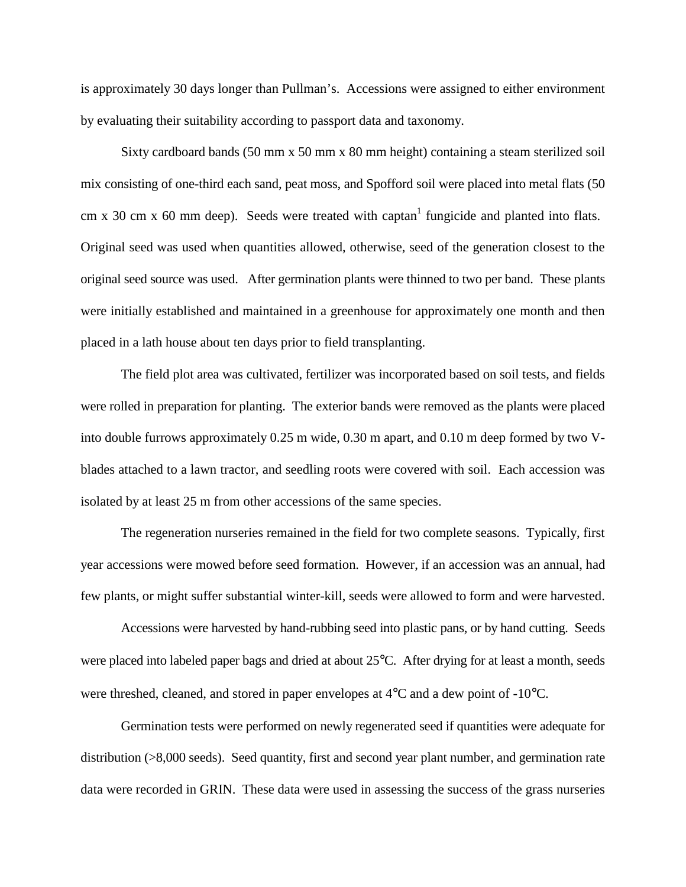is approximately 30 days longer than Pullman's. Accessions were assigned to either environment by evaluating their suitability according to passport data and taxonomy.

Sixty cardboard bands (50 mm x 50 mm x 80 mm height) containing a steam sterilized soil mix consisting of one-third each sand, peat moss, and Spofford soil were placed into metal flats (50 cm x 30 cm x 60 mm deep). Seeds were treated with captan<sup>1</sup> fungicide and planted into flats. Original seed was used when quantities allowed, otherwise, seed of the generation closest to the original seed source was used. After germination plants were thinned to two per band. These plants were initially established and maintained in a greenhouse for approximately one month and then placed in a lath house about ten days prior to field transplanting.

The field plot area was cultivated, fertilizer was incorporated based on soil tests, and fields were rolled in preparation for planting. The exterior bands were removed as the plants were placed into double furrows approximately 0.25 m wide, 0.30 m apart, and 0.10 m deep formed by two Vblades attached to a lawn tractor, and seedling roots were covered with soil. Each accession was isolated by at least 25 m from other accessions of the same species.

The regeneration nurseries remained in the field for two complete seasons. Typically, first year accessions were mowed before seed formation. However, if an accession was an annual, had few plants, or might suffer substantial winter-kill, seeds were allowed to form and were harvested.

Accessions were harvested by hand-rubbing seed into plastic pans, or by hand cutting. Seeds were placed into labeled paper bags and dried at about 25°C. After drying for at least a month, seeds were threshed, cleaned, and stored in paper envelopes at 4°C and a dew point of -10°C.

Germination tests were performed on newly regenerated seed if quantities were adequate for distribution (>8,000 seeds). Seed quantity, first and second year plant number, and germination rate data were recorded in GRIN. These data were used in assessing the success of the grass nurseries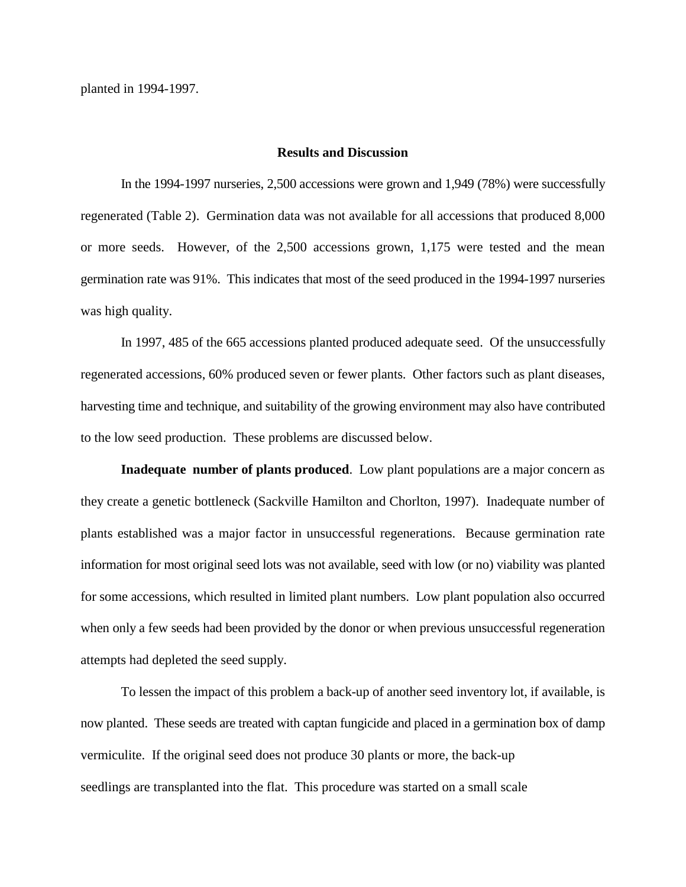# **Results and Discussion**

In the 1994-1997 nurseries, 2,500 accessions were grown and 1,949 (78%) were successfully regenerated (Table 2). Germination data was not available for all accessions that produced 8,000 or more seeds. However, of the 2,500 accessions grown, 1,175 were tested and the mean germination rate was 91%. This indicates that most of the seed produced in the 1994-1997 nurseries was high quality.

In 1997, 485 of the 665 accessions planted produced adequate seed. Of the unsuccessfully regenerated accessions, 60% produced seven or fewer plants. Other factors such as plant diseases, harvesting time and technique, and suitability of the growing environment may also have contributed to the low seed production. These problems are discussed below.

**Inadequate number of plants produced**. Low plant populations are a major concern as they create a genetic bottleneck (Sackville Hamilton and Chorlton, 1997). Inadequate number of plants established was a major factor in unsuccessful regenerations. Because germination rate information for most original seed lots was not available, seed with low (or no) viability was planted for some accessions, which resulted in limited plant numbers. Low plant population also occurred when only a few seeds had been provided by the donor or when previous unsuccessful regeneration attempts had depleted the seed supply.

To lessen the impact of this problem a back-up of another seed inventory lot, if available, is now planted. These seeds are treated with captan fungicide and placed in a germination box of damp vermiculite. If the original seed does not produce 30 plants or more, the back-up seedlings are transplanted into the flat. This procedure was started on a small scale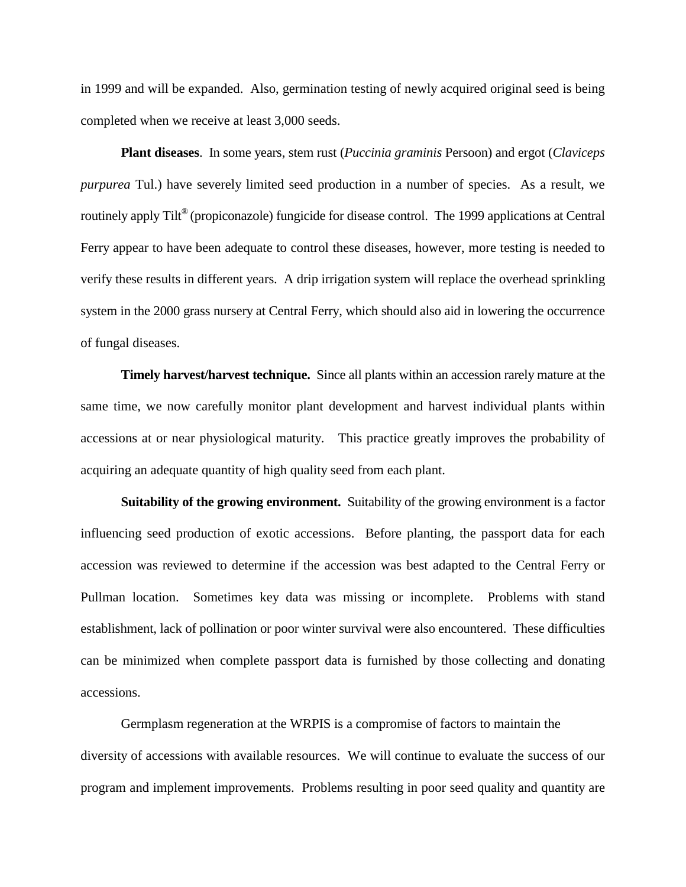in 1999 and will be expanded. Also, germination testing of newly acquired original seed is being completed when we receive at least 3,000 seeds.

**Plant diseases**. In some years, stem rust (*Puccinia graminis* Persoon) and ergot (*Claviceps purpurea* Tul.) have severely limited seed production in a number of species. As a result, we routinely apply Tilt<sup>®</sup> (propiconazole) fungicide for disease control. The 1999 applications at Central Ferry appear to have been adequate to control these diseases, however, more testing is needed to verify these results in different years. A drip irrigation system will replace the overhead sprinkling system in the 2000 grass nursery at Central Ferry, which should also aid in lowering the occurrence of fungal diseases.

**Timely harvest/harvest technique.** Since all plants within an accession rarely mature at the same time, we now carefully monitor plant development and harvest individual plants within accessions at or near physiological maturity. This practice greatly improves the probability of acquiring an adequate quantity of high quality seed from each plant.

**Suitability of the growing environment.** Suitability of the growing environment is a factor influencing seed production of exotic accessions. Before planting, the passport data for each accession was reviewed to determine if the accession was best adapted to the Central Ferry or Pullman location. Sometimes key data was missing or incomplete. Problems with stand establishment, lack of pollination or poor winter survival were also encountered. These difficulties can be minimized when complete passport data is furnished by those collecting and donating accessions.

Germplasm regeneration at the WRPIS is a compromise of factors to maintain the diversity of accessions with available resources. We will continue to evaluate the success of our program and implement improvements. Problems resulting in poor seed quality and quantity are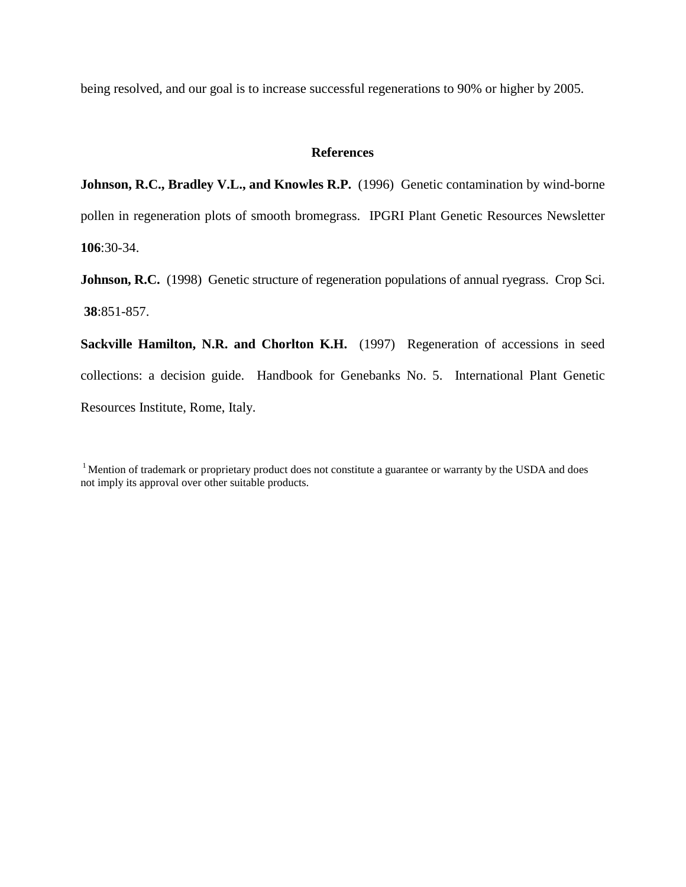being resolved, and our goal is to increase successful regenerations to 90% or higher by 2005.

### **References**

**Johnson, R.C., Bradley V.L., and Knowles R.P.** (1996) Genetic contamination by wind-borne pollen in regeneration plots of smooth bromegrass. IPGRI Plant Genetic Resources Newsletter **106**:30-34.

Johnson, R.C. (1998) Genetic structure of regeneration populations of annual ryegrass. Crop Sci. **38**:851-857.

**Sackville Hamilton, N.R. and Chorlton K.H.** (1997) Regeneration of accessions in seed collections: a decision guide. Handbook for Genebanks No. 5. International Plant Genetic Resources Institute, Rome, Italy.

<sup>&</sup>lt;sup>1</sup> Mention of trademark or proprietary product does not constitute a guarantee or warranty by the USDA and does not imply its approval over other suitable products.